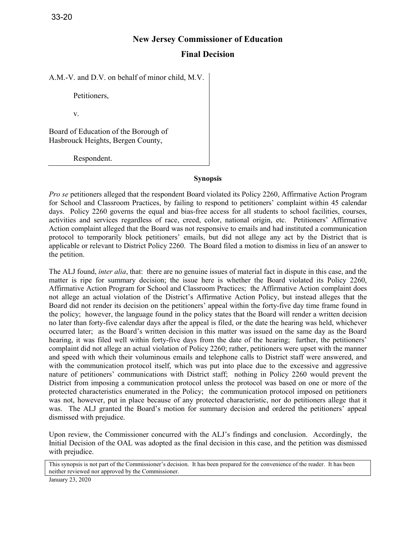# **New Jersey Commissioner of Education**

## **Final Decision**

A.M.-V. and D.V. on behalf of minor child, M.V.

Petitioners,

v.

Board of Education of the Borough of Hasbrouck Heights, Bergen County,

Respondent.

#### **Synopsis**

*Pro se* petitioners alleged that the respondent Board violated its Policy 2260, Affirmative Action Program for School and Classroom Practices, by failing to respond to petitioners' complaint within 45 calendar days. Policy 2260 governs the equal and bias-free access for all students to school facilities, courses, activities and services regardless of race, creed, color, national origin, etc. Petitioners' Affirmative Action complaint alleged that the Board was not responsive to emails and had instituted a communication protocol to temporarily block petitioners' emails, but did not allege any act by the District that is applicable or relevant to District Policy 2260. The Board filed a motion to dismiss in lieu of an answer to the petition.

The ALJ found, *inter alia*, that: there are no genuine issues of material fact in dispute in this case, and the matter is ripe for summary decision; the issue here is whether the Board violated its Policy 2260, Affirmative Action Program for School and Classroom Practices; the Affirmative Action complaint does not allege an actual violation of the District's Affirmative Action Policy, but instead alleges that the Board did not render its decision on the petitioners' appeal within the forty-five day time frame found in the policy; however, the language found in the policy states that the Board will render a written decision no later than forty-five calendar days after the appeal is filed, or the date the hearing was held, whichever occurred later; as the Board's written decision in this matter was issued on the same day as the Board hearing, it was filed well within forty-five days from the date of the hearing; further, the petitioners' complaint did not allege an actual violation of Policy 2260; rather, petitioners were upset with the manner and speed with which their voluminous emails and telephone calls to District staff were answered, and with the communication protocol itself, which was put into place due to the excessive and aggressive nature of petitioners' communications with District staff; nothing in Policy 2260 would prevent the District from imposing a communication protocol unless the protocol was based on one or more of the protected characteristics enumerated in the Policy; the communication protocol imposed on petitioners was not, however, put in place because of any protected characteristic, nor do petitioners allege that it was. The ALJ granted the Board's motion for summary decision and ordered the petitioners' appeal dismissed with prejudice.

Upon review, the Commissioner concurred with the ALJ's findings and conclusion. Accordingly, the Initial Decision of the OAL was adopted as the final decision in this case, and the petition was dismissed with prejudice.

This synopsis is not part of the Commissioner's decision. It has been prepared for the convenience of the reader. It has been neither reviewed nor approved by the Commissioner.

January 23, 2020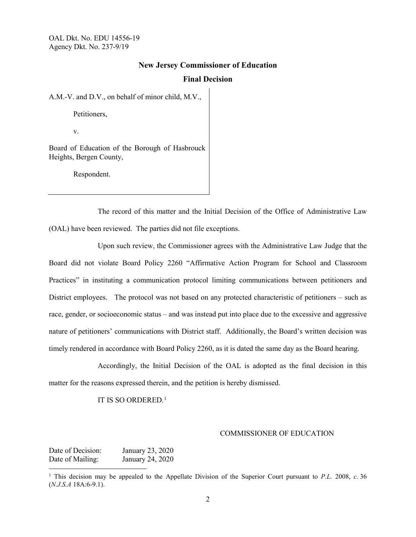## **New Jersey Commissioner of Education**

## **Final Decision**

A.M.-V. and D.V., on behalf of minor child, M.V.,

Petitioners,

v.

Board of Education of the Borough of Hasbrouck Heights, Bergen County,

Respondent.

The record of this matter and the Initial Decision of the Office of Administrative Law (OAL) have been reviewed. The parties did not file exceptions.

 Upon such review, the Commissioner agrees with the Administrative Law Judge that the Board did not violate Board Policy 2260 "Affirmative Action Program for School and Classroom Practices" in instituting a communication protocol limiting communications between petitioners and District employees. The protocol was not based on any protected characteristic of petitioners – such as race, gender, or socioeconomic status – and was instead put into place due to the excessive and aggressive nature of petitioners' communications with District staff. Additionally, the Board's written decision was timely rendered in accordance with Board Policy 2260, as it is dated the same day as the Board hearing.

Accordingly, the Initial Decision of the OAL is adopted as the final decision in this matter for the reasons expressed therein, and the petition is hereby dismissed.

IT IS SO ORDERED. [1](#page-1-0)

#### COMMISSIONER OF EDUCATION

Date of Decision: January 23, 2020 Date of Mailing: January 24, 2020  $\overline{a}$ 

<span id="page-1-0"></span><sup>1</sup> This decision may be appealed to the Appellate Division of the Superior Court pursuant to *P.L.* 2008, *c*. 36 (*N.J.S.A* 18A:6-9.1).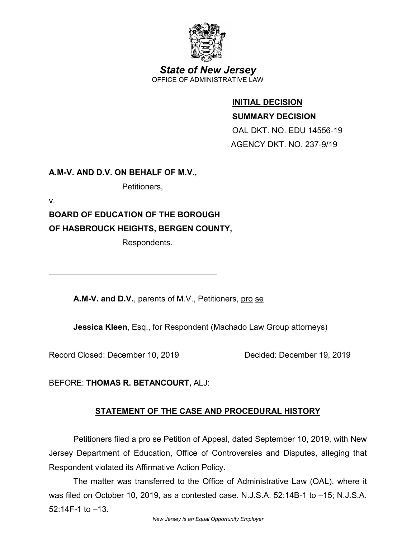

*State of New Jersey* OFFICE OF ADMINISTRATIVE LAW

# **INITIAL DECISION**

**SUMMARY DECISION**

 OAL DKT. NO. EDU 14556-19 AGENCY DKT. NO. 237-9/19

**A.M-V. AND D.V. ON BEHALF OF M.V.,** 

Petitioners,

v.

**BOARD OF EDUCATION OF THE BOROUGH OF HASBROUCK HEIGHTS, BERGEN COUNTY,** 

\_\_\_\_\_\_\_\_\_\_\_\_\_\_\_\_\_\_\_\_\_\_\_\_\_\_\_\_\_\_\_\_\_\_\_\_\_

Respondents.

**A.M-V. and D.V.**, parents of M.V., Petitioners, pro se

**Jessica Kleen**, Esq., for Respondent (Machado Law Group attorneys)

Record Closed: December 10, 2019 Decided: December 19, 2019

BEFORE: **THOMAS R. BETANCOURT,** ALJ:

# **STATEMENT OF THE CASE AND PROCEDURAL HISTORY**

Petitioners filed a pro se Petition of Appeal, dated September 10, 2019, with New Jersey Department of Education, Office of Controversies and Disputes, alleging that Respondent violated its Affirmative Action Policy.

The matter was transferred to the Office of Administrative Law (OAL), where it was filed on October 10, 2019, as a contested case. N.J.S.A. 52:14B-1 to –15; N.J.S.A. 52:14F-1 to –13.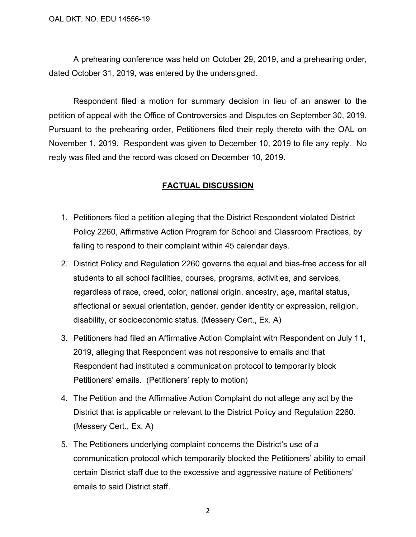A prehearing conference was held on October 29, 2019, and a prehearing order, dated October 31, 2019, was entered by the undersigned.

Respondent filed a motion for summary decision in lieu of an answer to the petition of appeal with the Office of Controversies and Disputes on September 30, 2019. Pursuant to the prehearing order, Petitioners filed their reply thereto with the OAL on November 1, 2019. Respondent was given to December 10, 2019 to file any reply. No reply was filed and the record was closed on December 10, 2019.

## **FACTUAL DISCUSSION**

- 1. Petitioners filed a petition alleging that the District Respondent violated District Policy 2260, Affirmative Action Program for School and Classroom Practices, by failing to respond to their complaint within 45 calendar days.
- 2. District Policy and Regulation 2260 governs the equal and bias-free access for all students to all school facilities, courses, programs, activities, and services, regardless of race, creed, color, national origin, ancestry, age, marital status, affectional or sexual orientation, gender, gender identity or expression, religion, disability, or socioeconomic status. (Messery Cert., Ex. A)
- 3. Petitioners had filed an Affirmative Action Complaint with Respondent on July 11, 2019, alleging that Respondent was not responsive to emails and that Respondent had instituted a communication protocol to temporarily block Petitioners' emails. (Petitioners' reply to motion)
- 4. The Petition and the Affirmative Action Complaint do not allege any act by the District that is applicable or relevant to the District Policy and Regulation 2260. (Messery Cert., Ex. A)
- 5. The Petitioners underlying complaint concerns the District's use of a communication protocol which temporarily blocked the Petitioners' ability to email certain District staff due to the excessive and aggressive nature of Petitioners' emails to said District staff.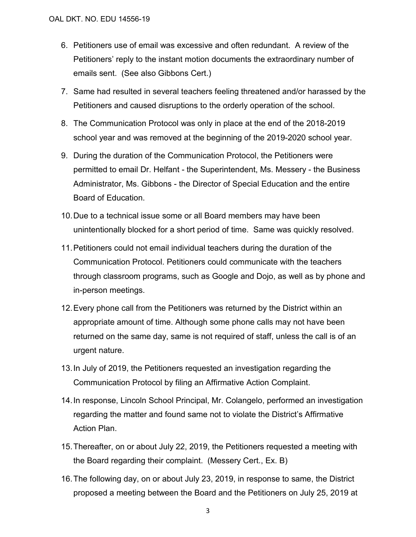- 6. Petitioners use of email was excessive and often redundant. A review of the Petitioners' reply to the instant motion documents the extraordinary number of emails sent. (See also Gibbons Cert.)
- 7. Same had resulted in several teachers feeling threatened and/or harassed by the Petitioners and caused disruptions to the orderly operation of the school.
- 8. The Communication Protocol was only in place at the end of the 2018-2019 school year and was removed at the beginning of the 2019-2020 school year.
- 9. During the duration of the Communication Protocol, the Petitioners were permitted to email Dr. Helfant - the Superintendent, Ms. Messery - the Business Administrator, Ms. Gibbons - the Director of Special Education and the entire Board of Education.
- 10. Due to a technical issue some or all Board members may have been unintentionally blocked for a short period of time. Same was quickly resolved.
- 11.Petitioners could not email individual teachers during the duration of the Communication Protocol. Petitioners could communicate with the teachers through classroom programs, such as Google and Dojo, as well as by phone and in-person meetings.
- 12. Every phone call from the Petitioners was returned by the District within an appropriate amount of time. Although some phone calls may not have been returned on the same day, same is not required of staff, unless the call is of an urgent nature.
- 13.In July of 2019, the Petitioners requested an investigation regarding the Communication Protocol by filing an Affirmative Action Complaint.
- 14.In response, Lincoln School Principal, Mr. Colangelo, performed an investigation regarding the matter and found same not to violate the District's Affirmative Action Plan.
- 15.Thereafter, on or about July 22, 2019, the Petitioners requested a meeting with the Board regarding their complaint. (Messery Cert., Ex. B)
- 16.The following day, on or about July 23, 2019, in response to same, the District proposed a meeting between the Board and the Petitioners on July 25, 2019 at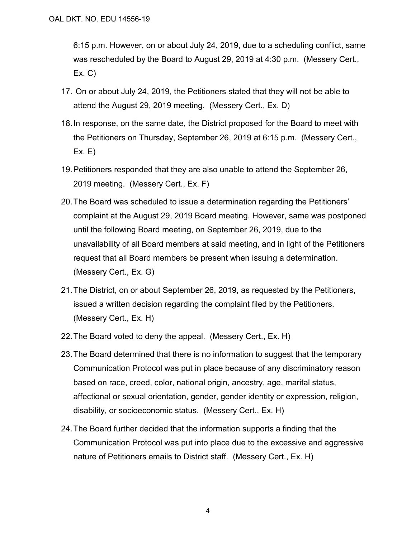6:15 p.m. However, on or about July 24, 2019, due to a scheduling conflict, same was rescheduled by the Board to August 29, 2019 at 4:30 p.m. (Messery Cert., Ex. C)

- 17. On or about July 24, 2019, the Petitioners stated that they will not be able to attend the August 29, 2019 meeting. (Messery Cert., Ex. D)
- 18.In response, on the same date, the District proposed for the Board to meet with the Petitioners on Thursday, September 26, 2019 at 6:15 p.m. (Messery Cert., Ex. E)
- 19.Petitioners responded that they are also unable to attend the September 26, 2019 meeting. (Messery Cert., Ex. F)
- 20. The Board was scheduled to issue a determination regarding the Petitioners' complaint at the August 29, 2019 Board meeting. However, same was postponed until the following Board meeting, on September 26, 2019, due to the unavailability of all Board members at said meeting, and in light of the Petitioners request that all Board members be present when issuing a determination. (Messery Cert., Ex. G)
- 21. The District, on or about September 26, 2019, as requested by the Petitioners, issued a written decision regarding the complaint filed by the Petitioners. (Messery Cert., Ex. H)
- 22. The Board voted to deny the appeal. (Messery Cert., Ex. H)
- 23. The Board determined that there is no information to suggest that the temporary Communication Protocol was put in place because of any discriminatory reason based on race, creed, color, national origin, ancestry, age, marital status, affectional or sexual orientation, gender, gender identity or expression, religion, disability, or socioeconomic status. (Messery Cert., Ex. H)
- 24.The Board further decided that the information supports a finding that the Communication Protocol was put into place due to the excessive and aggressive nature of Petitioners emails to District staff. (Messery Cert., Ex. H)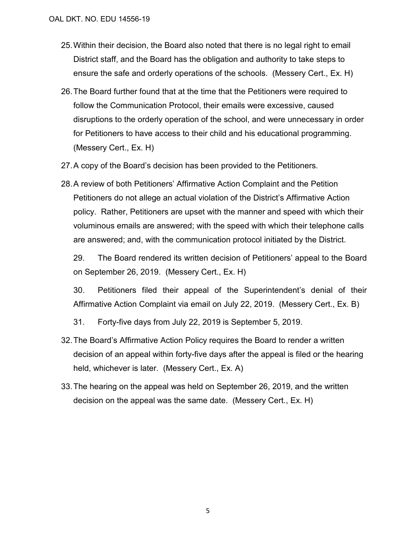- 25.Within their decision, the Board also noted that there is no legal right to email District staff, and the Board has the obligation and authority to take steps to ensure the safe and orderly operations of the schools. (Messery Cert., Ex. H)
- 26.The Board further found that at the time that the Petitioners were required to follow the Communication Protocol, their emails were excessive, caused disruptions to the orderly operation of the school, and were unnecessary in order for Petitioners to have access to their child and his educational programming. (Messery Cert., Ex. H)
- 27.A copy of the Board's decision has been provided to the Petitioners.
- 28.A review of both Petitioners' Affirmative Action Complaint and the Petition Petitioners do not allege an actual violation of the District's Affirmative Action policy. Rather, Petitioners are upset with the manner and speed with which their voluminous emails are answered; with the speed with which their telephone calls are answered; and, with the communication protocol initiated by the District.

29. The Board rendered its written decision of Petitioners' appeal to the Board on September 26, 2019. (Messery Cert., Ex. H)

30. Petitioners filed their appeal of the Superintendent's denial of their Affirmative Action Complaint via email on July 22, 2019. (Messery Cert., Ex. B)

- 31. Forty-five days from July 22, 2019 is September 5, 2019.
- 32.The Board's Affirmative Action Policy requires the Board to render a written decision of an appeal within forty-five days after the appeal is filed or the hearing held, whichever is later. (Messery Cert., Ex. A)
- 33.The hearing on the appeal was held on September 26, 2019, and the written decision on the appeal was the same date. (Messery Cert., Ex. H)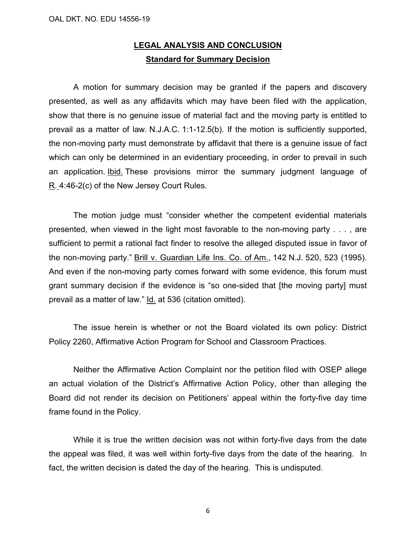# **LEGAL ANALYSIS AND CONCLUSION Standard for Summary Decision**

A motion for summary decision may be granted if the papers and discovery presented, as well as any affidavits which may have been filed with the application, show that there is no genuine issue of material fact and the moving party is entitled to prevail as a matter of law. N.J.A.C. 1:1-12.5(b). If the motion is sufficiently supported, the non-moving party must demonstrate by affidavit that there is a genuine issue of fact which can only be determined in an evidentiary proceeding, in order to prevail in such an application. Ibid. These provisions mirror the summary judgment language of R. 4:46-2(c) of the New Jersey Court Rules.

The motion judge must "consider whether the competent evidential materials presented, when viewed in the light most favorable to the non-moving party . . . , are sufficient to permit a rational fact finder to resolve the alleged disputed issue in favor of the non-moving party." Brill v. Guardian Life Ins. Co. of Am., 142 N.J. 520, 523 (1995). And even if the non-moving party comes forward with some evidence, this forum must grant summary decision if the evidence is "so one-sided that [the moving party] must prevail as a matter of law." Id. at 536 (citation omitted).

The issue herein is whether or not the Board violated its own policy: District Policy 2260, Affirmative Action Program for School and Classroom Practices.

Neither the Affirmative Action Complaint nor the petition filed with OSEP allege an actual violation of the District's Affirmative Action Policy, other than alleging the Board did not render its decision on Petitioners' appeal within the forty-five day time frame found in the Policy.

While it is true the written decision was not within forty-five days from the date the appeal was filed, it was well within forty-five days from the date of the hearing. In fact, the written decision is dated the day of the hearing. This is undisputed.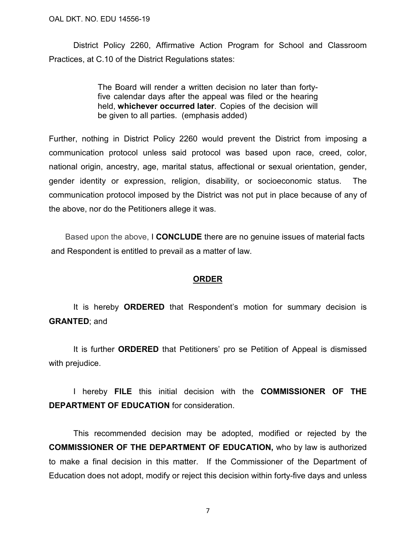District Policy 2260, Affirmative Action Program for School and Classroom Practices, at C.10 of the District Regulations states:

> The Board will render a written decision no later than fortyfive calendar days after the appeal was filed or the hearing held, **whichever occurred later**. Copies of the decision will be given to all parties. (emphasis added)

Further, nothing in District Policy 2260 would prevent the District from imposing a communication protocol unless said protocol was based upon race, creed, color, national origin, ancestry, age, marital status, affectional or sexual orientation, gender, gender identity or expression, religion, disability, or socioeconomic status. The communication protocol imposed by the District was not put in place because of any of the above, nor do the Petitioners allege it was.

Based upon the above, I **CONCLUDE** there are no genuine issues of material facts and Respondent is entitled to prevail as a matter of law.

## **ORDER**

It is hereby **ORDERED** that Respondent's motion for summary decision is **GRANTED**; and

It is further **ORDERED** that Petitioners' pro se Petition of Appeal is dismissed with prejudice.

 I hereby **FILE** this initial decision with the **COMMISSIONER OF THE DEPARTMENT OF EDUCATION** for consideration.

This recommended decision may be adopted, modified or rejected by the **COMMISSIONER OF THE DEPARTMENT OF EDUCATION,** who by law is authorized to make a final decision in this matter. If the Commissioner of the Department of Education does not adopt, modify or reject this decision within forty-five days and unless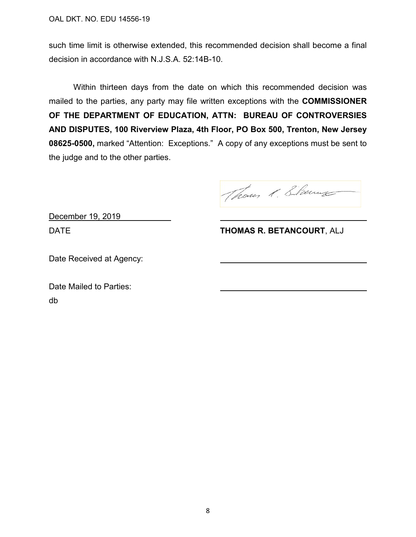such time limit is otherwise extended, this recommended decision shall become a final decision in accordance with N.J.S.A. 52:14B-10.

Within thirteen days from the date on which this recommended decision was mailed to the parties, any party may file written exceptions with the **COMMISSIONER OF THE DEPARTMENT OF EDUCATION, ATTN: BUREAU OF CONTROVERSIES AND DISPUTES, 100 Riverview Plaza, 4th Floor, PO Box 500, Trenton, New Jersey 08625-0500,** marked "Attention: Exceptions." A copy of any exceptions must be sent to the judge and to the other parties.

Thous 1. Starme

December 19, 2019

DATE **THOMAS R. BETANCOURT**, ALJ

Date Received at Agency:

Date Mailed to Parties: db